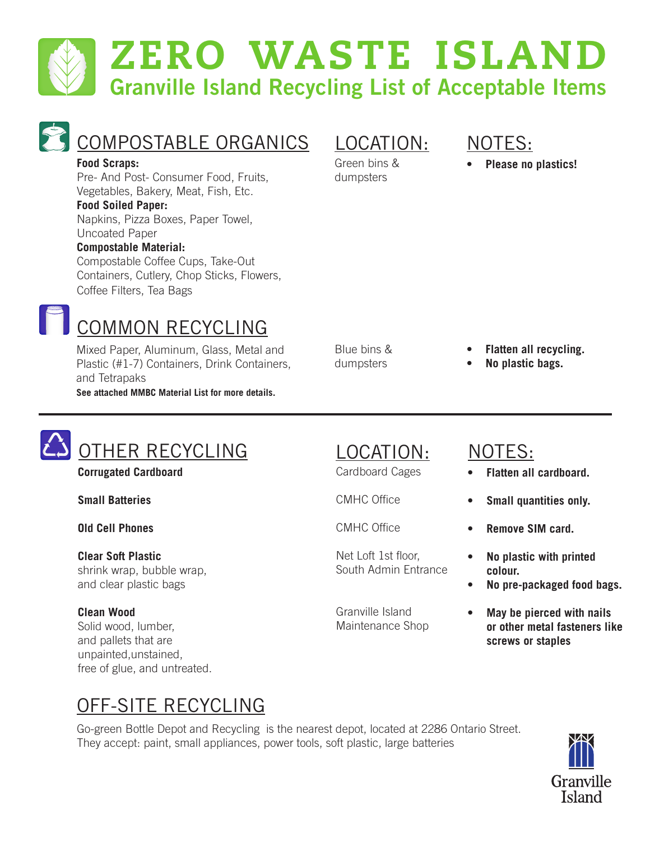# zero waste island **Granville Island Recycling List of Acceptable Items**



## COMPOSTABLE ORGANICS

#### **Food Scraps:**

Pre- And Post- Consumer Food, Fruits, Vegetables, Bakery, Meat, Fish, Etc.

#### **Food Soiled Paper:**

Napkins, Pizza Boxes, Paper Towel, Uncoated Paper

#### **Compostable Material:**

Compostable Coffee Cups, Take-Out Containers, Cutlery, Chop Sticks, Flowers, Coffee Filters, Tea Bags

#### LOCATION:

Green bins & dumpsters

#### NOTES:

**• Please no plastics!**

COMMON RECYCLING

Mixed Paper, Aluminum, Glass, Metal and Plastic (#1-7) Containers, Drink Containers, and Tetrapaks **See attached MMBC Material List for more details.**

Blue bins & dumpsters

- **• Flatten all recycling.**
- **• No plastic bags.**

# OTHER RECYCLING

**Corrugated Cardboard** 

**Small Batteries**

**Old Cell Phones**

**Clear Soft Plastic** shrink wrap, bubble wrap, and clear plastic bags

#### **Clean Wood**

Solid wood, lumber, and pallets that are unpainted,unstained, free of glue, and untreated.

#### LOCATION: NOTES:

Cardboard Cages

CMHC Office

CMHC Office

Net Loft 1st floor, South Admin Entrance

Granville Island Maintenance Shop

- **• Flatten all cardboard.**
- **• Small quantities only.**
- **• Remove SIM card.**
- **• No plastic with printed colour.**
- **• No pre-packaged food bags.**
- **• May be pierced with nails or other metal fasteners like screws or staples**

## OFF-SITE RECYCLING

Go-green Bottle Depot and Recycling is the nearest depot, located at 2286 Ontario Street. They accept: paint, small appliances, power tools, soft plastic, large batteries

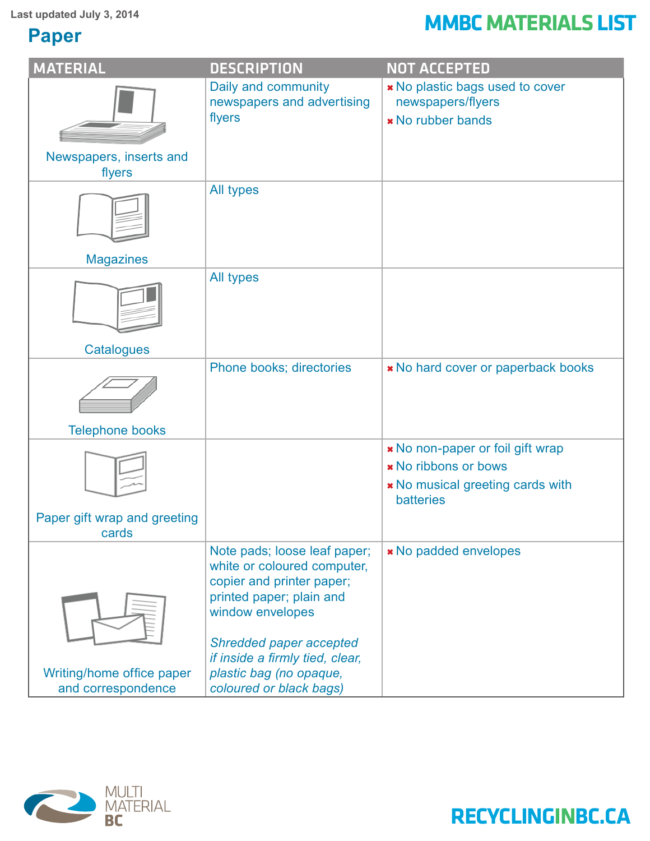#### **Paper**

# Last updated July 3, 2014<br> **MMBC MATERIALS LIST**

| <b>MATERIAL</b>                                 | <b>DESCRIPTION</b>                                                                                                                                                         | <b>NOT ACCEPTED</b>                                                                                              |
|-------------------------------------------------|----------------------------------------------------------------------------------------------------------------------------------------------------------------------------|------------------------------------------------------------------------------------------------------------------|
|                                                 | Daily and community<br>newspapers and advertising<br>flyers                                                                                                                | * No plastic bags used to cover<br>newspapers/flyers<br>* No rubber bands                                        |
| Newspapers, inserts and<br>flyers               |                                                                                                                                                                            |                                                                                                                  |
|                                                 | All types                                                                                                                                                                  |                                                                                                                  |
| <b>Magazines</b>                                |                                                                                                                                                                            |                                                                                                                  |
|                                                 | All types                                                                                                                                                                  |                                                                                                                  |
| <b>Catalogues</b>                               |                                                                                                                                                                            |                                                                                                                  |
|                                                 | Phone books; directories                                                                                                                                                   | * No hard cover or paperback books                                                                               |
| <b>Telephone books</b>                          |                                                                                                                                                                            |                                                                                                                  |
|                                                 |                                                                                                                                                                            | * No non-paper or foil gift wrap<br>* No ribbons or bows<br>* No musical greeting cards with<br><b>batteries</b> |
| Paper gift wrap and greeting<br>cards           |                                                                                                                                                                            |                                                                                                                  |
|                                                 | Note pads; loose leaf paper;<br>white or coloured computer,<br>copier and printer paper;<br>printed paper; plain and<br>window envelopes<br><b>Shredded paper accepted</b> | * No padded envelopes                                                                                            |
|                                                 | if inside a firmly tied, clear,                                                                                                                                            |                                                                                                                  |
| Writing/home office paper<br>and correspondence | plastic bag (no opaque,<br>coloured or black bags)                                                                                                                         |                                                                                                                  |

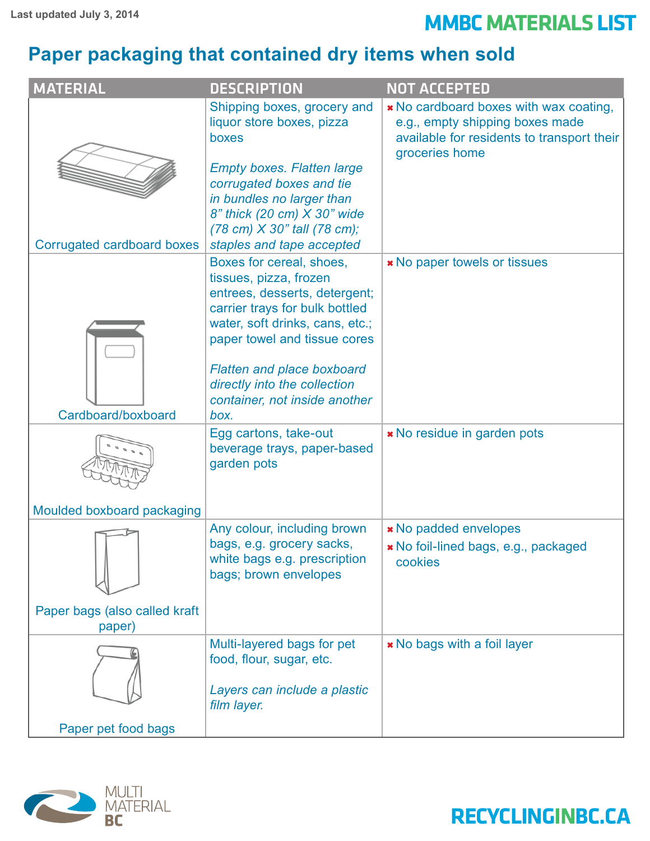## Last updated July 3, 2014<br> **MMBC MATERIALS LIST**

#### **Paper packaging that contained dry items when sold**

| <b>MATERIAL</b>                         | <b>DESCRIPTION</b>                                                                                                                                                                                                                                       | <b>NOT ACCEPTED</b>                                                                                                                       |
|-----------------------------------------|----------------------------------------------------------------------------------------------------------------------------------------------------------------------------------------------------------------------------------------------------------|-------------------------------------------------------------------------------------------------------------------------------------------|
|                                         | Shipping boxes, grocery and<br>liquor store boxes, pizza<br>boxes<br><b>Empty boxes. Flatten large</b><br>corrugated boxes and tie<br>in bundles no larger than<br>8" thick (20 cm) X 30" wide<br>$(78 \text{ cm}) \times 30$ " tall $(78 \text{ cm})$ ; | * No cardboard boxes with wax coating,<br>e.g., empty shipping boxes made<br>available for residents to transport their<br>groceries home |
| Corrugated cardboard boxes              | staples and tape accepted<br>Boxes for cereal, shoes,                                                                                                                                                                                                    |                                                                                                                                           |
|                                         | tissues, pizza, frozen<br>entrees, desserts, detergent;<br>carrier trays for bulk bottled<br>water, soft drinks, cans, etc.;<br>paper towel and tissue cores<br><b>Flatten and place boxboard</b>                                                        | <b>*</b> No paper towels or tissues                                                                                                       |
|                                         | directly into the collection<br>container, not inside another                                                                                                                                                                                            |                                                                                                                                           |
| Cardboard/boxboard                      | box.                                                                                                                                                                                                                                                     |                                                                                                                                           |
|                                         | Egg cartons, take-out<br>beverage trays, paper-based<br>garden pots                                                                                                                                                                                      | * No residue in garden pots                                                                                                               |
| Moulded boxboard packaging              |                                                                                                                                                                                                                                                          |                                                                                                                                           |
|                                         | Any colour, including brown<br>bags, e.g. grocery sacks,<br>white bags e.g. prescription<br>bags; brown envelopes                                                                                                                                        | <b>*</b> No padded envelopes<br>» No foil-lined bags, e.g., packaged<br>cookies                                                           |
| Paper bags (also called kraft<br>paper) |                                                                                                                                                                                                                                                          |                                                                                                                                           |
| Paper pet food bags                     | Multi-layered bags for pet<br>food, flour, sugar, etc.<br>Layers can include a plastic<br>film layer.                                                                                                                                                    | * No bags with a foil layer                                                                                                               |
|                                         |                                                                                                                                                                                                                                                          |                                                                                                                                           |

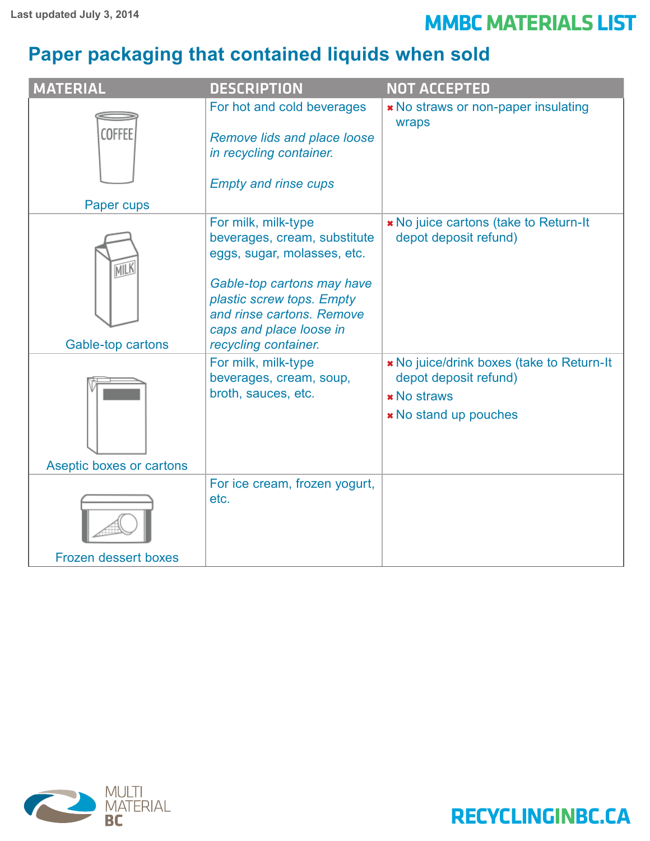## Last updated July 3, 2014<br> **MMBC MATERIALS LIST**

#### **Paper packaging that contained liquids when sold**

| <b>MATERIAL</b>             | <b>DESCRIPTION</b>                                                                                                                                                                                                            | <b>NOT ACCEPTED</b>                                                                                               |
|-----------------------------|-------------------------------------------------------------------------------------------------------------------------------------------------------------------------------------------------------------------------------|-------------------------------------------------------------------------------------------------------------------|
| <b>COFFEE</b><br>Paper cups | For hot and cold beverages<br><b>Remove lids and place loose</b><br>in recycling container.<br><b>Empty and rinse cups</b>                                                                                                    | * No straws or non-paper insulating<br>wraps                                                                      |
| MILK<br>Gable-top cartons   | For milk, milk-type<br>beverages, cream, substitute<br>eggs, sugar, molasses, etc.<br>Gable-top cartons may have<br>plastic screw tops. Empty<br>and rinse cartons. Remove<br>caps and place loose in<br>recycling container. | * No juice cartons (take to Return-It<br>depot deposit refund)                                                    |
| Aseptic boxes or cartons    | For milk, milk-type<br>beverages, cream, soup,<br>broth, sauces, etc.                                                                                                                                                         | * No juice/drink boxes (take to Return-It<br>depot deposit refund)<br><b>*</b> No straws<br>* No stand up pouches |
| <b>Frozen dessert boxes</b> | For ice cream, frozen yogurt,<br>etc.                                                                                                                                                                                         |                                                                                                                   |

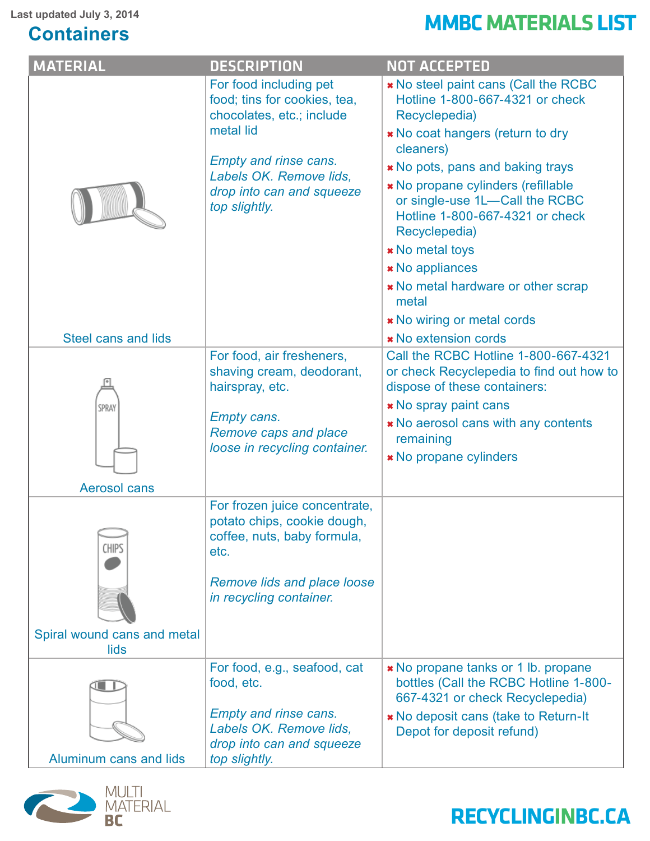#### **Containers**

# Last updated July 3, 2014<br> **Contoiners**

| <b>MATERIAL</b>                             | <b>DESCRIPTION</b>                                                                                                                                                                                        | <b>NOT ACCEPTED</b>                                                                                                                                                                                                                                                                                                                                                                                                                               |
|---------------------------------------------|-----------------------------------------------------------------------------------------------------------------------------------------------------------------------------------------------------------|---------------------------------------------------------------------------------------------------------------------------------------------------------------------------------------------------------------------------------------------------------------------------------------------------------------------------------------------------------------------------------------------------------------------------------------------------|
|                                             | For food including pet<br>food; tins for cookies, tea,<br>chocolates, etc.; include<br>metal lid<br><b>Empty and rinse cans.</b><br>Labels OK. Remove lids.<br>drop into can and squeeze<br>top slightly. | * No steel paint cans (Call the RCBC<br>Hotline 1-800-667-4321 or check<br>Recyclepedia)<br>* No coat hangers (return to dry<br>cleaners)<br><b>*</b> No pots, pans and baking trays<br>* No propane cylinders (refillable<br>or single-use 1L-Call the RCBC<br>Hotline 1-800-667-4321 or check<br>Recyclepedia)<br><b>*</b> No metal toys<br><b>*</b> No appliances<br>* No metal hardware or other scrap<br>metal<br>* No wiring or metal cords |
| Steel cans and lids                         |                                                                                                                                                                                                           | <b>* No extension cords</b>                                                                                                                                                                                                                                                                                                                                                                                                                       |
| SPRAY<br><b>Aerosol cans</b>                | For food, air fresheners,<br>shaving cream, deodorant,<br>hairspray, etc.<br><b>Empty cans.</b><br>Remove caps and place<br>loose in recycling container.                                                 | Call the RCBC Hotline 1-800-667-4321<br>or check Recyclepedia to find out how to<br>dispose of these containers:<br><b>*</b> No spray paint cans<br><b>*</b> No aerosol cans with any contents<br>remaining<br><b>*</b> No propane cylinders                                                                                                                                                                                                      |
|                                             |                                                                                                                                                                                                           |                                                                                                                                                                                                                                                                                                                                                                                                                                                   |
| <b>CHIPS</b><br>Spiral wound cans and metal | For frozen juice concentrate,<br>potato chips, cookie dough,<br>coffee, nuts, baby formula,<br>etc.<br><b>Remove lids and place loose</b><br>in recycling container.                                      |                                                                                                                                                                                                                                                                                                                                                                                                                                                   |
| lids                                        |                                                                                                                                                                                                           |                                                                                                                                                                                                                                                                                                                                                                                                                                                   |
| Aluminum cans and lids                      | For food, e.g., seafood, cat<br>food, etc.<br><b>Empty and rinse cans.</b><br>Labels OK. Remove lids,<br>drop into can and squeeze<br>top slightly.                                                       | * No propane tanks or 1 lb. propane<br>bottles (Call the RCBC Hotline 1-800-<br>667-4321 or check Recyclepedia)<br>* No deposit cans (take to Return-It<br>Depot for deposit refund)                                                                                                                                                                                                                                                              |
|                                             |                                                                                                                                                                                                           |                                                                                                                                                                                                                                                                                                                                                                                                                                                   |

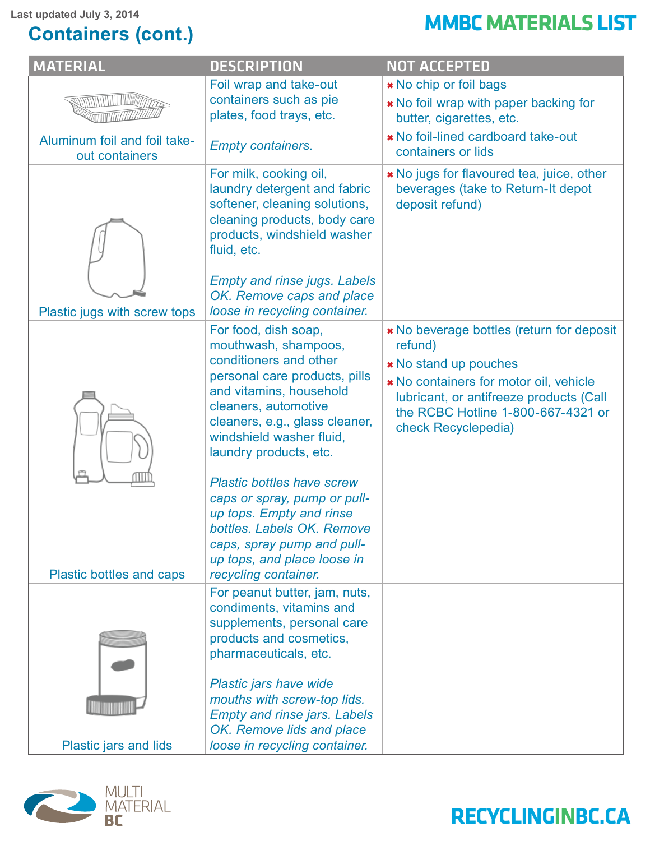#### **Containers (cont.)**

# Last updated July 3, 2014<br> **Containers** (cont )

| <b>MATERIAL</b>                                | <b>DESCRIPTION</b>                                                                                                                                                                                                                                                                                                                                                                                                                             | <b>NOT ACCEPTED</b>                                                                                                                                                                                                                    |
|------------------------------------------------|------------------------------------------------------------------------------------------------------------------------------------------------------------------------------------------------------------------------------------------------------------------------------------------------------------------------------------------------------------------------------------------------------------------------------------------------|----------------------------------------------------------------------------------------------------------------------------------------------------------------------------------------------------------------------------------------|
|                                                | Foil wrap and take-out<br>containers such as pie<br>plates, food trays, etc.                                                                                                                                                                                                                                                                                                                                                                   | * No chip or foil bags<br>* No foil wrap with paper backing for<br>butter, cigarettes, etc.                                                                                                                                            |
| Aluminum foil and foil take-<br>out containers | <b>Empty containers.</b>                                                                                                                                                                                                                                                                                                                                                                                                                       | * No foil-lined cardboard take-out<br>containers or lids                                                                                                                                                                               |
|                                                | For milk, cooking oil,<br>laundry detergent and fabric<br>softener, cleaning solutions,<br>cleaning products, body care<br>products, windshield washer<br>fluid, etc.                                                                                                                                                                                                                                                                          | * No jugs for flavoured tea, juice, other<br>beverages (take to Return-It depot<br>deposit refund)                                                                                                                                     |
| Plastic jugs with screw tops                   | <b>Empty and rinse jugs. Labels</b><br>OK. Remove caps and place<br>loose in recycling container.                                                                                                                                                                                                                                                                                                                                              |                                                                                                                                                                                                                                        |
|                                                | For food, dish soap,<br>mouthwash, shampoos,<br>conditioners and other<br>personal care products, pills<br>and vitamins, household<br>cleaners, automotive<br>cleaners, e.g., glass cleaner,<br>windshield washer fluid,<br>laundry products, etc.<br><b>Plastic bottles have screw</b><br>caps or spray, pump or pull-<br>up tops. Empty and rinse<br>bottles. Labels OK. Remove<br>caps, spray pump and pull-<br>up tops, and place loose in | * No beverage bottles (return for deposit<br>refund)<br><b>*</b> No stand up pouches<br>* No containers for motor oil, vehicle<br>lubricant, or antifreeze products (Call<br>the RCBC Hotline 1-800-667-4321 or<br>check Recyclepedia) |
| Plastic bottles and caps                       | recycling container.<br>For peanut butter, jam, nuts,<br>condiments, vitamins and<br>supplements, personal care<br>products and cosmetics,<br>pharmaceuticals, etc.<br>Plastic jars have wide                                                                                                                                                                                                                                                  |                                                                                                                                                                                                                                        |
| Plastic jars and lids                          | mouths with screw-top lids.<br><b>Empty and rinse jars. Labels</b><br>OK. Remove lids and place<br>loose in recycling container.                                                                                                                                                                                                                                                                                                               |                                                                                                                                                                                                                                        |

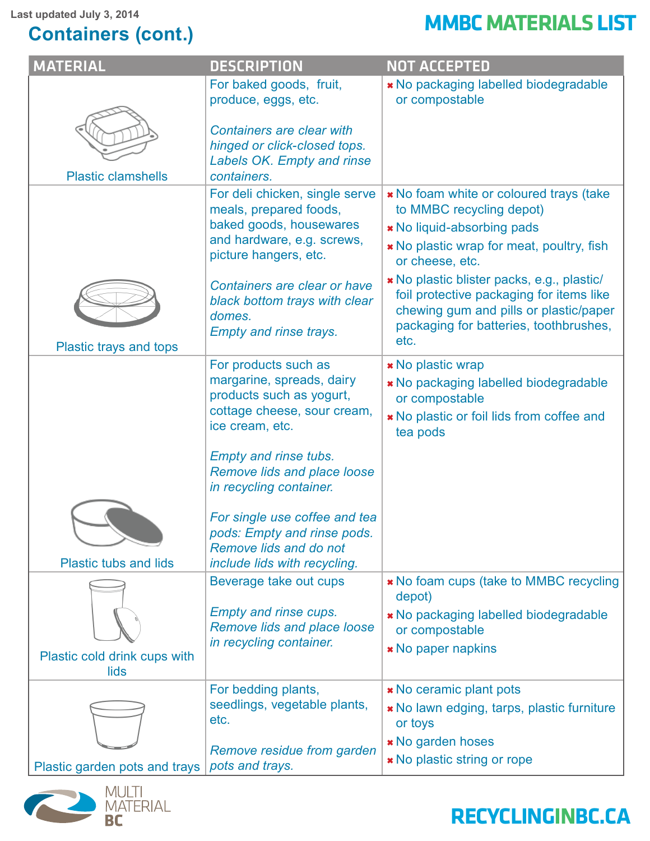#### **Containers (cont.)**

# Last updated July 3, 2014<br> **Contoiners** (cont )

| <b>MATERIAL</b>               | <b>DESCRIPTION</b>                                                                                                                         | <b>NOT ACCEPTED</b>                                                                                                                                                                |
|-------------------------------|--------------------------------------------------------------------------------------------------------------------------------------------|------------------------------------------------------------------------------------------------------------------------------------------------------------------------------------|
|                               | For baked goods, fruit,<br>produce, eggs, etc.                                                                                             | * No packaging labelled biodegradable<br>or compostable                                                                                                                            |
|                               | <b>Containers are clear with</b><br>hinged or click-closed tops.<br>Labels OK. Empty and rinse                                             |                                                                                                                                                                                    |
| <b>Plastic clamshells</b>     | containers.                                                                                                                                |                                                                                                                                                                                    |
|                               | For deli chicken, single serve<br>meals, prepared foods,<br>baked goods, housewares<br>and hardware, e.g. screws,<br>picture hangers, etc. | * No foam white or coloured trays (take<br>to MMBC recycling depot)<br>* No liquid-absorbing pads<br>* No plastic wrap for meat, poultry, fish<br>or cheese, etc.                  |
|                               | Containers are clear or have<br>black bottom trays with clear<br>domes.<br><b>Empty and rinse trays.</b>                                   | * No plastic blister packs, e.g., plastic/<br>foil protective packaging for items like<br>chewing gum and pills or plastic/paper<br>packaging for batteries, toothbrushes,<br>etc. |
| Plastic trays and tops        |                                                                                                                                            |                                                                                                                                                                                    |
|                               | For products such as<br>margarine, spreads, dairy<br>products such as yogurt,<br>cottage cheese, sour cream,<br>ice cream, etc.            | <b>*</b> No plastic wrap<br>* No packaging labelled biodegradable<br>or compostable<br>* No plastic or foil lids from coffee and<br>tea pods                                       |
|                               | <b>Empty and rinse tubs.</b><br><b>Remove lids and place loose</b><br>in recycling container.                                              |                                                                                                                                                                                    |
| <b>Plastic tubs and lids</b>  | For single use coffee and tea<br>pods: Empty and rinse pods.<br>Remove lids and do not<br>include lids with recycling.                     |                                                                                                                                                                                    |
|                               | Beverage take out cups                                                                                                                     | * No foam cups (take to MMBC recycling                                                                                                                                             |
|                               | <b>Empty and rinse cups.</b><br>Remove lids and place loose                                                                                | depot)<br>* No packaging labelled biodegradable<br>or compostable                                                                                                                  |
| Plastic cold drink cups with  | in recycling container.                                                                                                                    | <b>*</b> No paper napkins                                                                                                                                                          |
| lids                          | For bedding plants,                                                                                                                        | <b>*</b> No ceramic plant pots                                                                                                                                                     |
|                               | seedlings, vegetable plants,<br>etc.                                                                                                       | * No lawn edging, tarps, plastic furniture<br>or toys                                                                                                                              |
| Plastic garden pots and trays | Remove residue from garden<br>pots and trays.                                                                                              | <b>* No garden hoses</b><br>* No plastic string or rope                                                                                                                            |